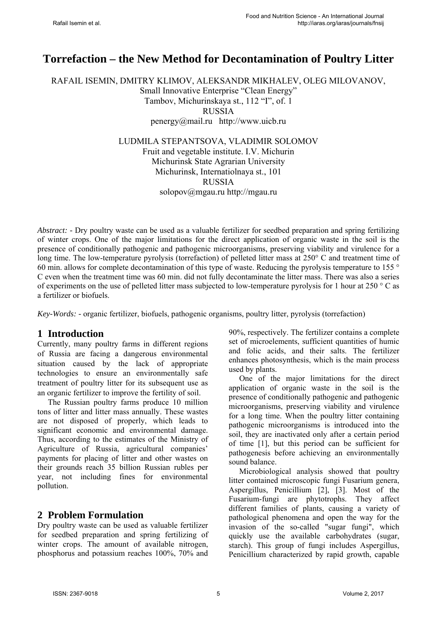# **Torrefaction – the New Method for Decontamination of Poultry Litter**

RAFAIL ISEMIN, DMITRY KLIMOV, ALEKSANDR MIKHALEV, OLEG MILOVANOV, Small Innovative Enterprise "Clean Energy" Tambov, Michurinskaya st., 112 "I", of. 1 RUSSIA penergy@mail.ru http://www.uicb.ru LUDMILA STEPANTSOVA, VLADIMIR SOLOMOV

Fruit and vegetable institute. I.V. Michurin Michurinsk State Agrarian University Michurinsk, Internatiolnaya st., 101 RUSSIA solopov@mgau.ru http://mgau.ru

*Abstract: -* Dry poultry waste can be used as a valuable fertilizer for seedbed preparation and spring fertilizing of winter crops. One of the major limitations for the direct application of organic waste in the soil is the presence of conditionally pathogenic and pathogenic microorganisms, preserving viability and virulence for a long time. The low-temperature pyrolysis (torrefaction) of pelleted litter mass at 250° C and treatment time of 60 min. allows for complete decontamination of this type of waste. Reducing the pyrolysis temperature to 155 ° C even when the treatment time was 60 min. did not fully decontaminate the litter mass. There was also a series of experiments on the use of pelleted litter mass subjected to low-temperature pyrolysis for 1 hour at 250 ° C as a fertilizer or biofuels.

*Key-Words: -* organic fertilizer, biofuels, pathogenic organisms, poultry litter, pyrolysis (torrefaction)

### **1 Introduction**

Currently, many poultry farms in different regions of Russia are facing a dangerous environmental situation caused by the lack of appropriate technologies to ensure an environmentally safe treatment of poultry litter for its subsequent use as an organic fertilizer to improve the fertility of soil.

The Russian poultry farms produce 10 million tons of litter and litter mass annually. These wastes are not disposed of properly, which leads to significant economic and environmental damage. Thus, according to the estimates of the Ministry of Agriculture of Russia, agricultural companies' payments for placing of litter and other wastes on their grounds reach 35 billion Russian rubles per year, not including fines for environmental pollution.

### **2 Problem Formulation**

Dry poultry waste can be used as valuable fertilizer for seedbed preparation and spring fertilizing of winter crops. The amount of available nitrogen, phosphorus and potassium reaches 100%, 70% and 90%, respectively. The fertilizer contains a complete set of microelements, sufficient quantities of humic and folic acids, and their salts. The fertilizer enhances photosynthesis, which is the main process used by plants.

One of the major limitations for the direct application of organic waste in the soil is the presence of conditionally pathogenic and pathogenic microorganisms, preserving viability and virulence for a long time. When the poultry litter containing pathogenic microorganisms is introduced into the soil, they are inactivated only after a certain period of time [1], but this period can be sufficient for pathogenesis before achieving an environmentally sound balance.

Microbiological analysis showed that poultry litter contained microscopic fungi Fusarium genera, Aspergillus, Penicillium [2], [3]. Most of the Fusarium-fungi are phytotrophs. They affect different families of plants, causing a variety of pathological phenomena and open the way for the invasion of the so-called "sugar fungi", which quickly use the available carbohydrates (sugar, starch). This group of fungi includes Aspergillus, Penicillium characterized by rapid growth, capable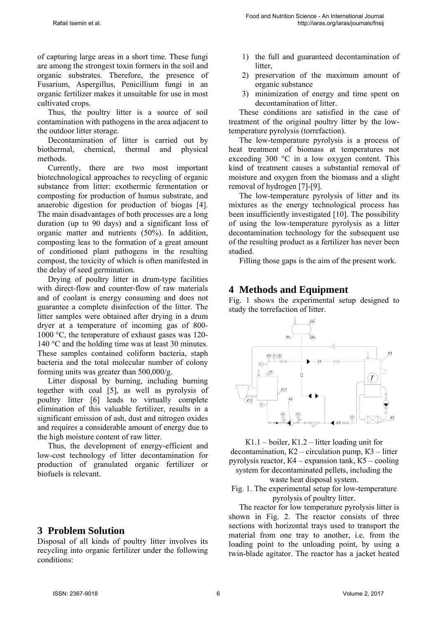of capturing large areas in a short time. These fungi are among the strongest toxin formers in the soil and organic substrates. Therefore, the presence of Fusarium, Aspergillus, Penicillium fungi in an organic fertilizer makes it unsuitable for use in most cultivated crops.

Thus, the poultry litter is a source of soil contamination with pathogens in the area adjacent to the outdoor litter storage.

Decontamination of litter is carried out by biothermal, chemical, thermal and physical methods.

Currently, there are two most important biotechnological approaches to recycling of organic substance from litter: exothermic fermentation or composting for production of humus substrate, and anaerobic digestion for production of biogas [4]. The main disadvantages of both processes are a long duration (up to 90 days) and a significant loss of organic matter and nutrients (50%). In addition, composting leas to the formation of a great amount of conditioned plant pathogens in the resulting compost, the toxicity of which is often manifested in the delay of seed germination.

Drying of poultry litter in drum-type facilities with direct-flow and counter-flow of raw materials and of coolant is energy consuming and does not guarantee a complete disinfection of the litter. The litter samples were obtained after drying in a drum dryer at a temperature of incoming gas of 800- 1000 °C, the temperature of exhaust gases was 120- 140 °C and the holding time was at least 30 minutes. These samples contained coliform bacteria, staph bacteria and the total molecular number of colony forming units was greater than 500,000/g.

Litter disposal by burning, including burning together with coal [5], as well as pyrolysis of poultry litter [6] leads to virtually complete elimination of this valuable fertilizer, results in a significant emission of ash, dust and nitrogen oxides and requires a considerable amount of energy due to the high moisture content of raw litter.

Thus, the development of energy-efficient and low-cost technology of litter decontamination for production of granulated organic fertilizer or biofuels is relevant.

### **3 Problem Solution**

Disposal of all kinds of poultry litter involves its recycling into organic fertilizer under the following conditions:

- 1) the full and guaranteed decontamination of litter.
- 2) preservation of the maximum amount of organic substance
- 3) minimization of energy and time spent on decontamination of litter.

These conditions are satisfied in the case of treatment of the original poultry litter by the lowtemperature pyrolysis (torrefaction).

The low-temperature pyrolysis is a process of heat treatment of biomass at temperatures not exceeding 300  $\degree$ C in a low oxygen content. This kind of treatment causes a substantial removal of moisture and oxygen from the biomass and a slight removal of hydrogen [7]-[9].

The low-temperature pyrolysis of litter and its mixtures as the energy technological process has been insufficiently investigated [10]. The possibility of using the low-temperature pyrolysis as a litter decontamination technology for the subsequent use of the resulting product as a fertilizer has never been studied.

Filling those gaps is the aim of the present work.

### **4 Methods and Equipment**

Fig. 1 shows the experimental setup designed to study the torrefaction of litter.



К1.1 – boiler, К1.2 – litter loading unit for decontamination, К2 – circulation pump, К3 – litter pyrolysis reactor, К4 – expansion tank, К5 – cooling system for decontaminated pellets, including the waste heat disposal system.

Fig. 1. The experimental setup for low-temperature pyrolysis of poultry litter.

The reactor for low temperature pyrolysis litter is shown in Fig. 2. The reactor consists of three sections with horizontal trays used to transport the material from one tray to another, i.e. from the loading point to the unloading point, by using a twin-blade agitator. The reactor has a jacket heated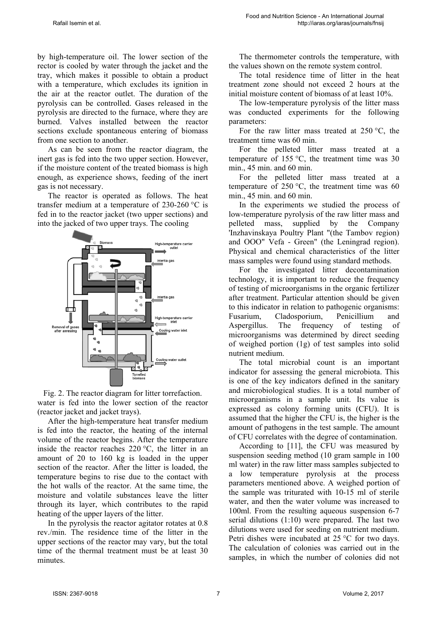by high-temperature oil. The lower section of the rector is cooled by water through the jacket and the tray, which makes it possible to obtain a product with a temperature, which excludes its ignition in the air at the reactor outlet. The duration of the pyrolysis can be controlled. Gases released in the pyrolysis are directed to the furnace, where they are burned. Valves installed between the reactor sections exclude spontaneous entering of biomass from one section to another.

As can be seen from the reactor diagram, the inert gas is fed into the two upper section. However, if the moisture content of the treated biomass is high enough, as experience shows, feeding of the inert gas is not necessary.

The reactor is operated as follows. The heat transfer medium at a temperature of 230-260 °C is fed in to the reactor jacket (two upper sections) and into the jacked of two upper trays. The cooling



Fig. 2. The reactor diagram for litter torrefaction. water is fed into the lower section of the reactor (reactor jacket and jacket trays).

After the high-temperature heat transfer medium is fed into the reactor, the heating of the internal volume of the reactor begins. After the temperature inside the reactor reaches 220 °C, the litter in an amount of 20 to 160 kg is loaded in the upper section of the reactor. After the litter is loaded, the temperature begins to rise due to the contact with the hot walls of the reactor. At the same time, the moisture and volatile substances leave the litter through its layer, which contributes to the rapid heating of the upper layers of the litter.

In the pyrolysis the reactor agitator rotates at 0.8 rev./min. The residence time of the litter in the upper sections of the reactor may vary, but the total time of the thermal treatment must be at least 30 minutes.

The thermometer controls the temperature, with the values shown on the remote system control.

The total residence time of litter in the heat treatment zone should not exceed 2 hours at the initial moisture content of biomass of at least 10%.

The low-temperature pyrolysis of the litter mass was conducted experiments for the following parameters:

For the raw litter mass treated at  $250 \degree C$ , the treatment time was 60 min.

For the pelleted litter mass treated at a temperature of 155  $\degree$ C, the treatment time was 30 min., 45 min. and 60 min.

For the pelleted litter mass treated at a temperature of 250 °C, the treatment time was 60 min., 45 min. and 60 min.

In the experiments we studied the process of low-temperature pyrolysis of the raw litter mass and pelleted mass, supplied by the Company 'Inzhavinskaya Poultry Plant "(the Tambov region) and OOO" Vefa - Green" (the Leningrad region). Physical and chemical characteristics of the litter mass samples were found using standard methods.

For the investigated litter decontamination technology, it is important to reduce the frequency of testing of microorganisms in the organic fertilizer after treatment. Particular attention should be given to this indicator in relation to pathogenic organisms: Fusarium, Cladosporium, Penicillium and Aspergillus. The frequency of testing of microorganisms was determined by direct seeding of weighed portion (1g) of test samples into solid nutrient medium.

The total microbial count is an important indicator for assessing the general microbiota. This is one of the key indicators defined in the sanitary and microbiological studies. It is a total number of microorganisms in a sample unit. Its value is expressed as colony forming units (CFU). It is assumed that the higher the CFU is, the higher is the amount of pathogens in the test sample. The amount of CFU correlates with the degree of contamination.

According to [11], the CFU was measured by suspension seeding method (10 gram sample in 100 ml water) in the raw litter mass samples subjected to a low temperature pyrolysis at the process parameters mentioned above. A weighed portion of the sample was triturated with 10-15 ml of sterile water, and then the water volume was increased to 100ml. From the resulting aqueous suspension 6-7 serial dilutions (1:10) were prepared. The last two dilutions were used for seeding on nutrient medium. Petri dishes were incubated at 25 °C for two days. The calculation of colonies was carried out in the samples, in which the number of colonies did not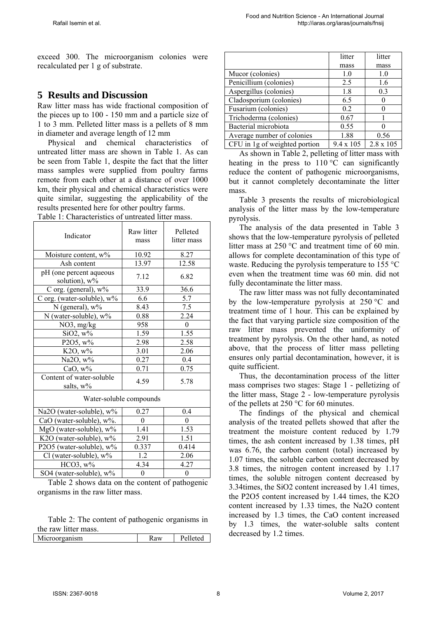exceed 300. The microorganism colonies were recalculated per 1 g of substrate.

### **5 Results and Discussion**

Raw litter mass has wide fractional composition of the pieces up to 100 - 150 mm and a particle size of 1 to 3 mm. Pelleted litter mass is a pellets of 8 mm in diameter and average length of 12 mm

Physical and chemical characteristics of untreated litter mass are shown in Table 1. As can be seen from Table 1, despite the fact that the litter mass samples were supplied from poultry farms remote from each other at a distance of over 1000 km, their physical and chemical characteristics were quite similar, suggesting the applicability of the results presented here for other poultry farms. Table 1: Characteristics of untreated litter mass.

| Indicator                                | Raw litter<br>mass | Pelleted<br>litter mass |  |  |  |  |
|------------------------------------------|--------------------|-------------------------|--|--|--|--|
| Moisture content, w%                     | 10.92              | 8.27                    |  |  |  |  |
| Ash content                              | 13.97              | 12.58                   |  |  |  |  |
| pH (one percent aqueous<br>solution), w% | 7.12               | 6.82                    |  |  |  |  |
| C org. (general), w%                     | 33.9               | 36.6                    |  |  |  |  |
| C org. (water-soluble), w%               | 6.6                | 5.7                     |  |  |  |  |
| N (general), w%                          | 8.43               | 7.5                     |  |  |  |  |
| N (water-soluble), w%                    | 0.88               | 2.24                    |  |  |  |  |
| NO3, mg/kg                               | 958                | $\boldsymbol{0}$        |  |  |  |  |
| $SiO2$ , $w\%$                           | 1.59               | 1.55                    |  |  |  |  |
| P2O5, w%                                 | 2.98               | 2.58                    |  |  |  |  |
| $K2O, w\%$                               | 3.01               | 2.06                    |  |  |  |  |
| Na2O, w%                                 | 0.27               | 0.4                     |  |  |  |  |
| CaO, w%                                  | 0.71               | 0.75                    |  |  |  |  |
| Content of water-soluble<br>salts, w%    | 4.59               | 5.78                    |  |  |  |  |
| Water-soluble compounds                  |                    |                         |  |  |  |  |
| Na2O (water-soluble), w%                 | 0.27               | 0.4                     |  |  |  |  |
| CaO (water-soluble), w%.                 | $\theta$           | 0                       |  |  |  |  |
| MgO (water-soluble), w%                  | 1.53<br>1.41       |                         |  |  |  |  |
| K2O (water-soluble), w%                  | 2.91               | 1.51                    |  |  |  |  |
| P2O5 (water-soluble), w%                 | 0.337              | 0.414                   |  |  |  |  |
| Cl (water-soluble), $w\%$                | 1.2                | 2.06                    |  |  |  |  |
| $HCO3, w\%$                              | 4.34               | 4.27                    |  |  |  |  |
| SO4 (water-soluble), w%                  | $\mathbf{0}$       | $\overline{0}$          |  |  |  |  |

Table 2 shows data on the content of pathogenic organisms in the raw litter mass.

Table 2: The content of pathogenic organisms in the raw litter mass.

| Microorganism | Kaw | Pelleted |
|---------------|-----|----------|
|               |     |          |

|                               | litter           | litter           |
|-------------------------------|------------------|------------------|
|                               | mass             | mass             |
| Mucor (colonies)              | 1.0              | 1.0              |
| Penicillium (colonies)        | 2.5              | 1.6              |
| Aspergillus (colonies)        | 1.8              | 0.3              |
| Cladosporium (colonies)       | 6.5              |                  |
| Fusarium (colonies)           | 0.2              |                  |
| Trichoderma (colonies)        | 0.67             |                  |
| Bacterial microbiota          | 0.55             |                  |
| Average number of colonies    | 1.88             | 0.56             |
| CFU in 1g of weighted portion | $9.4 \times 105$ | $2.8 \times 105$ |

As shown in Table 2, pelleting of litter mass with heating in the press to  $110^{\circ}$ C can significantly reduce the content of pathogenic microorganisms, but it cannot completely decontaminate the litter mass.

Table 3 presents the results of microbiological analysis of the litter mass by the low-temperature pyrolysis.

The analysis of the data presented in Table 3 shows that the low-temperature pyrolysis of pelleted litter mass at 250 °C and treatment time of 60 min. allows for complete decontamination of this type of waste. Reducing the pyrolysis temperature to 155 °C even when the treatment time was 60 min. did not fully decontaminate the litter mass.

The raw litter mass was not fully decontaminated by the low-temperature pyrolysis at 250 °C and treatment time of 1 hour. This can be explained by the fact that varying particle size composition of the raw litter mass prevented the uniformity of treatment by pyrolysis. On the other hand, as noted above, that the process of litter mass pelleting ensures only partial decontamination, however, it is quite sufficient.

Thus, the decontamination process of the litter mass comprises two stages: Stage 1 - pelletizing of the litter mass, Stage 2 - low-temperature pyrolysis of the pellets at 250 °C for 60 minutes.

The findings of the physical and chemical analysis of the treated pellets showed that after the treatment the moisture content reduced by 1.79 times, the ash content increased by 1.38 times, pH was 6.76, the carbon content (total) increased by 1.07 times, the soluble carbon content decreased by 3.8 times, the nitrogen content increased by 1.17 times, the soluble nitrogen content decreased by 3.34times, the SiO2 content increased by 1.41 times, the P2O5 content increased by 1.44 times, the K2O content increased by 1.33 times, the Na2O content increased by 1.3 times, the CaO content increased by 1.3 times, the water-soluble salts content decreased by 1.2 times.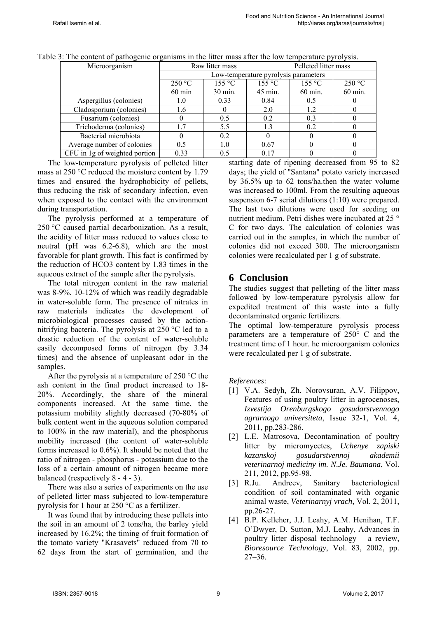| Microorganism                 | Raw litter mass                      |                    |         | Pelleted litter mass |                    |         |
|-------------------------------|--------------------------------------|--------------------|---------|----------------------|--------------------|---------|
|                               | Low-temperature pyrolysis parameters |                    |         |                      |                    |         |
|                               | 250 °C                               | 155 °C             | 155 °C  |                      | 155 °C             | 250 °C  |
|                               | $60 \text{ min}$                     | $30 \text{ min}$ . | 45 min. |                      | $60 \text{ min}$ . | 60 min. |
| Aspergillus (colonies)        | 1.0                                  | 0.33               | 0.84    |                      | 0.5                |         |
| Cladosporium (colonies)       | 1.6                                  |                    | 2.0     |                      | 1.2                |         |
| Fusarium (colonies)           |                                      | 0.5                | 0.2     |                      | 0.3                |         |
| Trichoderma (colonies)        | 1.7                                  | 5.5                | 1.3     |                      | 0.2                |         |
| Bacterial microbiota          |                                      | 0.2                |         |                      |                    |         |
| Average number of colonies    | 0.5                                  | 1.0                | 0.67    |                      |                    |         |
| CFU in 1g of weighted portion | 0.33                                 | 0.5                | 0.17    |                      |                    |         |

Table 3: The content of pathogenic organisms in the litter mass after the low temperature pyrolysis.

The low-temperature pyrolysis of pelleted litter mass at 250 °С reduced the moisture content by 1.79 times and ensured the hydrophobicity of pellets, thus reducing the risk of secondary infection, even when exposed to the contact with the environment during transportation.

The pyrolysis performed at a temperature of 250 °C caused partial decarbonization. As a result, the acidity of litter mass reduced to values close to neutral (pH was 6.2-6.8), which are the most favorable for plant growth. This fact is confirmed by the reduction of HCO3 content by 1.83 times in the aqueous extract of the sample after the pyrolysis.

The total nitrogen content in the raw material was 8-9%, 10-12% of which was readily degradable in water-soluble form. The presence of nitrates in raw materials indicates the development of microbiological processes caused by the actionnitrifying bacteria. The pyrolysis at 250 °С led to a drastic reduction of the content of water-soluble easily decomposed forms of nitrogen (by 3.34 times) and the absence of unpleasant odor in the samples.

After the pyrolysis at a temperature of 250  $\degree$ C the ash content in the final product increased to 18- 20%. Accordingly, the share of the mineral components increased. At the same time, the potassium mobility slightly decreased (70-80% of bulk content went in the aqueous solution compared to 100% in the raw material), and the phosphorus mobility increased (the content of water-soluble forms increased to 0.6%). It should be noted that the ratio of nitrogen - phosphorus - potassium due to the loss of a certain amount of nitrogen became more balanced (respectively 8 - 4 - 3).

There was also a series of experiments on the use of pelleted litter mass subjected to low-temperature pyrolysis for 1 hour at 250 °C as a fertilizer.

It was found that by introducing these pellets into the soil in an amount of 2 tons/ha, the barley yield increased by 16.2%; the timing of fruit formation of the tomato variety "Krasavets" reduced from 70 to 62 days from the start of germination, and the starting date of ripening decreased from 95 to 82 days; the yield of "Santana" potato variety increased by 36.5% up to 62 tons/ha.then the water volume was increased to 100ml. From the resulting aqueous suspension 6-7 serial dilutions (1:10) were prepared. The last two dilutions were used for seeding on nutrient medium. Petri dishes were incubated at 25 ° C for two days. The calculation of colonies was carried out in the samples, in which the number of colonies did not exceed 300. The microorganism colonies were recalculated per 1 g of substrate.

## **6 Conclusion**

The studies suggest that pelleting of the litter mass followed by low-temperature pyrolysis allow for expedited treatment of this waste into a fully decontaminated organic fertilizers.

The optimal low-temperature pyrolysis process parameters are a temperature of 250° C and the treatment time of 1 hour. he microorganism colonies were recalculated per 1 g of substrate.

#### *References:*

- [1] V.A. Sedyh, Zh. Norovsuran, A.V. Filippov, Features of using poultry litter in agrocenoses, *Izvestija Orenburgskogo gosudarstvennogo agrarnogo universiteta*, Issue 32-1, Vol. 4, 2011, pp.283-286.
- [2] L.E. Matrosova, Decontamination of poultry litter by micromycetes, *Uchenye zapiski kazanskoj gosudarstvennoj akademii veterinarnoj mediciny im. N.Je. Baumana*, Vol. 211, 2012, pp.95-98.
- [3] R.Ju. Andreev, Sanitary bacteriological condition of soil contaminated with organic animal waste, *Veterinarnyj vrach*, Vol. 2, 2011, pp.26-27.
- [4] B.P. Kelleher, J.J. Leahy, A.M. Henihan, T.F. O'Dwyer, D. Sutton, M.J. Leahy, Advances in poultry litter disposal technology – a review, *Bioresource Technology*, Vol. 83, 2002, pp. 27–36.